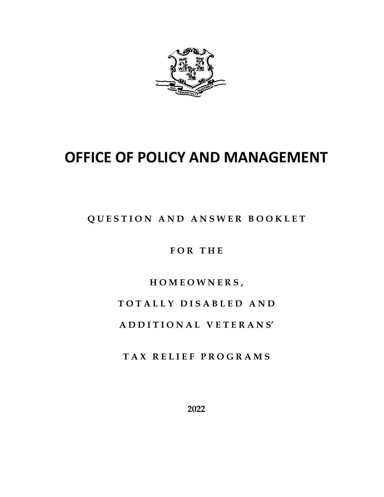

# **OFFICE OF POLICY AND MANAGEMENT**

**Q U E S T I O N A N D A N S W E R B O O K L E T**

**F O R T H E**

**H O M E O W N E R S ,**

**T O T A L L Y D I S A B L E D A N D**

**A D D I T I O N A L V E T E R A N S'**

**T A X R E L I E F P R O G R A M S**

**2022**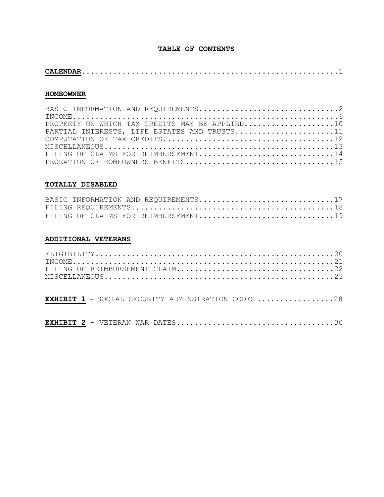# **TABLE OF CONTENTS**

|--|--|--|

#### **HOMEOWNER**

| BASIC INFORMATION AND REQUIREMENTS2            |
|------------------------------------------------|
|                                                |
| PROPERTY ON WHICH TAX CREDITS MAY BE APPLIED10 |
| PARTIAL INTERESTS, LIFE ESTATES AND TRUSTS11   |
|                                                |
|                                                |
| FILING OF CLAIMS FOR REIMBURSEMENT14           |
| PRORATION OF HOMEOWNERS BENFITS15              |

#### **TOTALLY DISABLED**

|  |  | BASIC INFORMATION AND REQUIREMENTS17 |  |
|--|--|--------------------------------------|--|
|  |  |                                      |  |
|  |  | FILING OF CLAIMS FOR REIMBURSEMENT19 |  |

#### **ADDITIONAL VETERANS**

|  |  |  |  |  |  | <b>EXHIBIT 1</b> - SOCIAL SECURITY ADMINSTRATION CODES 28 |  |  |
|--|--|--|--|--|--|-----------------------------------------------------------|--|--|
|--|--|--|--|--|--|-----------------------------------------------------------|--|--|

**EXHIBIT 2** – VETERAN WAR DATES...................................30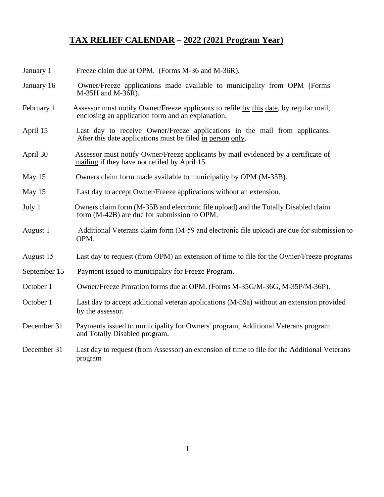# **TAX RELIEF CALENDAR – 2022 (2021 Program Year)**

| January 1    | Freeze claim due at OPM. (Forms M-36 and M-36R).                                                                                           |
|--------------|--------------------------------------------------------------------------------------------------------------------------------------------|
| January 16   | Owner/Freeze applications made available to municipality from OPM (Forms<br>M-35H and M-36R).                                              |
| February 1   | Assessor must notify Owner/Freeze applicants to refile by this date, by regular mail,<br>enclosing an application form and an explanation. |
| April 15     | Last day to receive Owner/Freeze applications in the mail from applicants.<br>After this date applications must be filed in person only.   |
| April 30     | Assessor must notify Owner/Freeze applicants by mail evidenced by a certificate of<br>mailing if they have not refiled by April 15.        |
| May 15       | Owners claim form made available to municipality by OPM (M-35B).                                                                           |
| May 15       | Last day to accept Owner/Freeze applications without an extension.                                                                         |
| July 1       | Owners claim form (M-35B and electronic file upload) and the Totally Disabled claim<br>form (M-42B) are due for submission to OPM.         |
| August 1     | Additional Veterans claim form (M-59 and electronic file upload) are due for submission to<br>OPM.                                         |
| August 15    | Last day to request (from OPM) an extension of time to file for the Owner/Freeze programs                                                  |
| September 15 | Payment issued to municipality for Freeze Program.                                                                                         |
| October 1    | Owner/Freeze Proration forms due at OPM. (Forms M-35G/M-36G, M-35P/M-36P).                                                                 |
| October 1    | Last day to accept additional veteran applications (M-59a) without an extension provided<br>by the assessor.                               |
| December 31  | Payments issued to municipality for Owners' program, Additional Veterans program<br>and Totally Disabled program.                          |
| December 31  | Last day to request (from Assessor) an extension of time to file for the Additional Veterans<br>program                                    |
|              |                                                                                                                                            |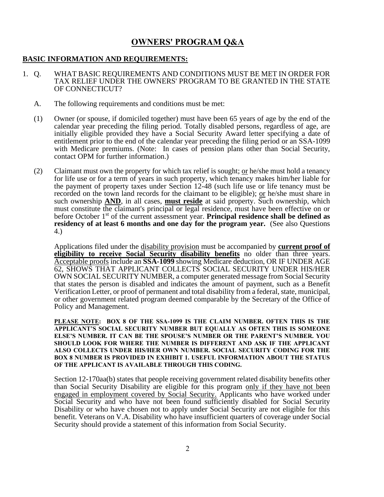# **OWNERS' PROGRAM Q&A**

#### **BASIC INFORMATION AND REQUIREMENTS:**

- 1. Q. WHAT BASIC REQUIREMENTS AND CONDITIONS MUST BE MET IN ORDER FOR TAX RELIEF UNDER THE OWNERS' PROGRAM TO BE GRANTED IN THE STATE OF CONNECTICUT?
	- A. The following requirements and conditions must be met:
	- (1) Owner (or spouse, if domiciled together) must have been 65 years of age by the end of the calendar year preceding the filing period. Totally disabled persons, regardless of age, are initially eligible provided they have a Social Security Award letter specifying a date of entitlement prior to the end of the calendar year preceding the filing period or an SSA-1099 with Medicare premiums. (Note: In cases of pension plans other than Social Security, contact OPM for further information.)
	- (2) Claimant must own the property for which tax relief is sought; or he/she must hold a tenancy for life use or for a term of years in such property, which tenancy makes him/her liable for the payment of property taxes under Section 12-48 (such life use or life tenancy must be recorded on the town land records for the claimant to be eligible); or he/she must share in such ownership **AND**, in all cases, **must reside** at said property. Such ownership, which must constitute the claimant's principal or legal residence, must have been effective on or before October 1st of the current assessment year. **Principal residence shall be defined as**  residency of at least 6 months and one day for the program year. (See also Questions 4.)

Applications filed under the disability provision must be accompanied by **current proof of eligibility to receive Social Security disability benefits** no older than three years. Acceptable proofs include an **SSA-1099** showing Medicare deduction, OR IF UNDER AGE 62, SHOWS THAT APPLICANT COLLECTS SOCIAL SECURITY UNDER HIS/HER OWN SOCIAL SECURITY NUMBER, a computer generated message from Social Security that states the person is disabled and indicates the amount of payment, such as a Benefit Verification Letter, or proof of permanent and total disability from a federal, state, municipal, or other government related program deemed comparable by the Secretary of the Office of Policy and Management.

**PLEASE NOTE: BOX 8 OF THE SSA-1099 IS THE CLAIM NUMBER. OFTEN THIS IS THE APPLICANT'S SOCIAL SECURITY NUMBER BUT EQUALLY AS OFTEN THIS IS SOMEONE ELSE'S NUMBER. IT CAN BE THE SPOUSE'S NUMBER OR THE PARENT'S NUMBER. YOU SHOULD LOOK FOR WHERE THE NUMBER IS DIFFERENT AND ASK IF THE APPLICANT ALSO COLLECTS UNDER HIS/HER OWN NUMBER. SOCIAL SECURITY CODING FOR THE BOX 8 NUMBER IS PROVIDED IN EXHIBIT 1. USEFUL INFORMATION ABOUT THE STATUS OF THE APPLICANT IS AVAILABLE THROUGH THIS CODING.**

Section 12-170aa(b) states that people receiving government related disability benefits other than Social Security Disability are eligible for this program only if they have not been engaged in employment covered by Social Security. Applicants who have worked under Social Security and who have not been found sufficiently disabled for Social Security Disability or who have chosen not to apply under Social Security are not eligible for this benefit. Veterans on V.A. Disability who have insufficient quarters of coverage under Social Security should provide a statement of this information from Social Security.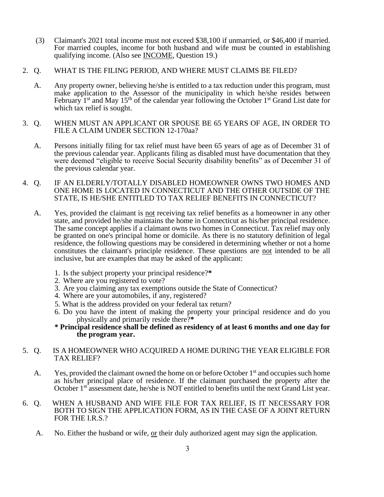- (3) Claimant's 2021 total income must not exceed \$38,100 if unmarried, or \$46,400 if married. For married couples, income for both husband and wife must be counted in establishing qualifying income. (Also see INCOME, Question 19.)
- 2. Q. WHAT IS THE FILING PERIOD, AND WHERE MUST CLAIMS BE FILED?
	- A. Any property owner, believing he/she is entitled to a tax reduction under this program, must make application to the Assessor of the municipality in which he/she resides between February  $1<sup>st</sup>$  and May  $15<sup>th</sup>$  of the calendar year following the October  $1<sup>st</sup>$  Grand List date for which tax relief is sought.
- 3. Q. WHEN MUST AN APPLICANT OR SPOUSE BE 65 YEARS OF AGE, IN ORDER TO FILE A CLAIM UNDER SECTION 12-170aa?
	- A. Persons initially filing for tax relief must have been 65 years of age as of December 31 of the previous calendar year. Applicants filing as disabled must have documentation that they were deemed "eligible to receive Social Security disability benefits" as of December 31 of the previous calendar year.
- 4. Q. IF AN ELDERLY/TOTALLY DISABLED HOMEOWNER OWNS TWO HOMES AND ONE HOME IS LOCATED IN CONNECTICUT AND THE OTHER OUTSIDE OF THE STATE, IS HE/SHE ENTITLED TO TAX RELIEF BENEFITS IN CONNECTICUT?
	- A. Yes, provided the claimant is not receiving tax relief benefits as a homeowner in any other state, and provided he/she maintains the home in Connecticut as his/her principal residence. The same concept applies if a claimant owns two homes in Connecticut. Tax relief may only be granted on one's principal home or domicile. As there is no statutory definition of legal residence, the following questions may be considered in determining whether or not a home constitutes the claimant's principle residence. These questions are not intended to be all inclusive, but are examples that may be asked of the applicant:
		- 1. Is the subject property your principal residence?**\***
		- 2. Where are you registered to vote?
		- 3. Are you claiming any tax exemptions outside the State of Connecticut?
		- 4. Where are your automobiles, if any, registered?
		- 5. What is the address provided on your federal tax return?
		- 6. Do you have the intent of making the property your principal residence and do you physically and primarily reside there?**\***
		- **\* Principal residence shall be defined as residency of at least 6 months and one day for the program year.**
- 5. Q. IS A HOMEOWNER WHO ACQUIRED A HOME DURING THE YEAR ELIGIBLE FOR TAX RELIEF?
	- A. Yes, provided the claimant owned the home on or before October  $1<sup>st</sup>$  and occupies such home as his/her principal place of residence. If the claimant purchased the property after the October 1<sup>st</sup> assessment date, he/she is NOT entitled to benefits until the next Grand List year.
- 6. Q. WHEN A HUSBAND AND WIFE FILE FOR TAX RELIEF, IS IT NECESSARY FOR BOTH TO SIGN THE APPLICATION FORM, AS IN THE CASE OF A JOINT RETURN FOR THE I.R.S.?
	- A. No. Either the husband or wife, or their duly authorized agent may sign the application.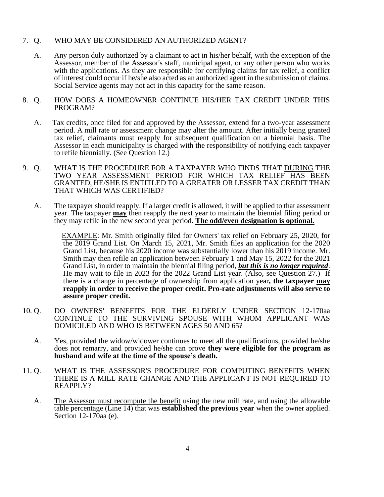# 7. Q. WHO MAY BE CONSIDERED AN AUTHORIZED AGENT?

- A. Any person duly authorized by a claimant to act in his/her behalf, with the exception of the Assessor, member of the Assessor's staff, municipal agent, or any other person who works with the applications. As they are responsible for certifying claims for tax relief, a conflict of interest could occur if he/she also acted as an authorized agent in the submission of claims. Social Service agents may not act in this capacity for the same reason.
- 8. Q. HOW DOES A HOMEOWNER CONTINUE HIS/HER TAX CREDIT UNDER THIS PROGRAM?
	- A. Tax credits, once filed for and approved by the Assessor, extend for a two-year assessment period. A mill rate or assessment change may alter the amount. After initially being granted tax relief, claimants must reapply for subsequent qualification on a biennial basis. The Assessor in each municipality is charged with the responsibility of notifying each taxpayer to refile biennially. (See Question 12.)
- 9. Q. WHAT IS THE PROCEDURE FOR A TAXPAYER WHO FINDS THAT DURING THE TWO YEAR ASSESSMENT PERIOD FOR WHICH TAX RELIEF HAS BEEN GRANTED, HE/SHE IS ENTITLED TO A GREATER OR LESSER TAX CREDIT THAN THAT WHICH WAS CERTIFIED?
	- A. The taxpayer should reapply. If a larger credit is allowed, it will be applied to that assessment year. The taxpayer **may** then reapply the next year to maintain the biennial filing period or they may refile in the new second year period. **The odd/even designation is optional.**

 EXAMPLE: Mr. Smith originally filed for Owners' tax relief on February 25, 2020, for the 2019 Grand List. On March 15, 2021, Mr. Smith files an application for the 2020 Grand List, because his 2020 income was substantially lower than his 2019 income. Mr. Smith may then refile an application between February 1 and May 15, 2022 for the 2021 Grand List, in order to maintain the biennial filing period, *but this is no longer required*. He may wait to file in 2023 for the 2022 Grand List year. (Also, see Question 27.) If there is a change in percentage of ownership from application year**, the taxpayer may reapply in order to receive the proper credit. Pro-rate adjustments will also serve to assure proper credit.**

- 10. Q. DO OWNERS' BENEFITS FOR THE ELDERLY UNDER SECTION 12-170aa CONTINUE TO THE SURVIVING SPOUSE WITH WHOM APPLICANT WAS DOMICILED AND WHO IS BETWEEN AGES 50 AND 65?
	- A. Yes, provided the widow/widower continues to meet all the qualifications, provided he/she does not remarry, and provided he/she can prove **they were eligible for the program as husband and wife at the time of the spouse's death.**
- 11. Q. WHAT IS THE ASSESSOR'S PROCEDURE FOR COMPUTING BENEFITS WHEN THERE IS A MILL RATE CHANGE AND THE APPLICANT IS NOT REQUIRED TO REAPPLY?
	- A. The Assessor must recompute the benefit using the new mill rate, and using the allowable table percentage (Line 14) that was **established the previous year** when the owner applied. Section 12-170aa (e).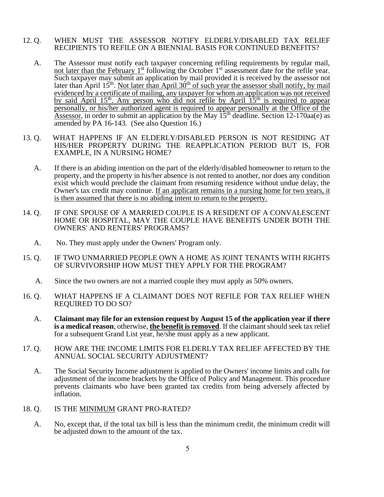- 12. Q. WHEN MUST THE ASSESSOR NOTIFY ELDERLY/DISABLED TAX RELIEF RECIPIENTS TO REFILE ON A BIENNIAL BASIS FOR CONTINUED BENEFITS?
	- A. The Assessor must notify each taxpayer concerning refiling requirements by regular mail, not later than the February 1<sup>st</sup> following the October 1<sup>st</sup> assessment date for the refile year. Such taxpayer may submit an application by mail provided it is received by the assessor not later than April 15<sup>th</sup>. Not later than April  $30<sup>th</sup>$  of such year the assessor shall notify, by mail evidenced by a certificate of mailing, any taxpayer for whom an application was not received by said April 15<sup>th</sup>. Any person who did not refile by April 15<sup>th</sup> is required to appear personally, or his/her authorized agent is required to appear personally at the Office of the Assessor, in order to submit an application by the May  $15<sup>th</sup>$  deadline. Section 12-170aa(e) as amended by PA 16-143. (See also Question 16.)
- 13. Q. WHAT HAPPENS IF AN ELDERLY/DISABLED PERSON IS NOT RESIDING AT HIS/HER PROPERTY DURING THE REAPPLICATION PERIOD BUT IS, FOR EXAMPLE, IN A NURSING HOME?
	- A. If there is an abiding intention on the part of the elderly/disabled homeowner to return to the property, and the property in his/her absence is not rented to another, nor does any condition exist which would preclude the claimant from resuming residence without undue delay, the Owner's tax credit may continue. If an applicant remains in a nursing home for two years, it is then assumed that there is no abiding intent to return to the property.
- 14. Q. IF ONE SPOUSE OF A MARRIED COUPLE IS A RESIDENT OF A CONVALESCENT HOME OR HOSPITAL, MAY THE COUPLE HAVE BENEFITS UNDER BOTH THE OWNERS' AND RENTERS' PROGRAMS?
	- A. No. They must apply under the Owners' Program only.
- 15. Q. IF TWO UNMARRIED PEOPLE OWN A HOME AS JOINT TENANTS WITH RIGHTS OF SURVIVORSHIP HOW MUST THEY APPLY FOR THE PROGRAM?
	- A. Since the two owners are not a married couple they must apply as 50% owners.
- 16. Q. WHAT HAPPENS IF A CLAIMANT DOES NOT REFILE FOR TAX RELIEF WHEN REQUIRED TO DO SO?
	- A. **Claimant may file for an extension request by August 15 of the application year if there is a medical reason**, otherwise, **the benefit is removed**. If the claimant should seek tax relief for a subsequent Grand List year, he/she must apply as a new applicant.
- 17. Q. HOW ARE THE INCOME LIMITS FOR ELDERLY TAX RELIEF AFFECTED BY THE ANNUAL SOCIAL SECURITY ADJUSTMENT?
	- A. The Social Security Income adjustment is applied to the Owners' income limits and calls for adjustment of the income brackets by the Office of Policy and Management. This procedure prevents claimants who have been granted tax credits from being adversely affected by inflation.
- 18. Q. IS THE MINIMUM GRANT PRO-RATED?
	- A. No, except that, if the total tax bill is less than the minimum credit, the minimum credit will be adjusted down to the amount of the tax.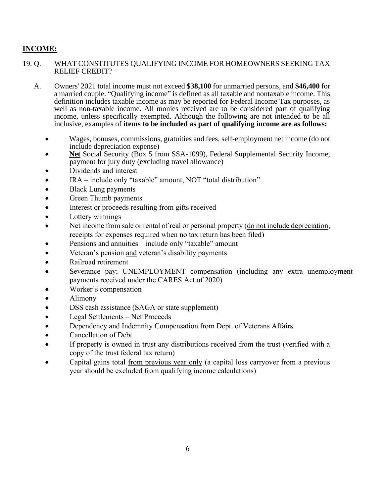# **INCOME:**

# 19. Q. WHAT CONSTITUTES QUALIFYING INCOME FOR HOMEOWNERS SEEKING TAX RELIEF CREDIT?

- A. Owners' 2021 total income must not exceed **\$38,100** for unmarried persons, and **\$46,400** for a married couple. "Qualifying income" is defined as all taxable and nontaxable income. This definition includes taxable income as may be reported for Federal Income Tax purposes, as well as non-taxable income. All monies received are to be considered part of qualifying income, unless specifically exempted. Although the following are not intended to be all inclusive, examples of **items to be included as part of qualifying income are as follows:**
	- Wages, bonuses, commissions, gratuities and fees, self-employment net income (do not include depreciation expense)
	- **Net** Social Security (Box 5 from SSA-1099), Federal Supplemental Security Income, payment for jury duty (excluding travel allowance)
	- Dividends and interest
	- IRA include only "taxable" amount, NOT "total distribution"
	- Black Lung payments
	- Green Thumb payments
	- Interest or proceeds resulting from gifts received
	- Lottery winnings
	- Net income from sale or rental of real or personal property (do not include depreciation, receipts for expenses required when no tax return has been filed)
	- Pensions and annuities include only "taxable" amount
	- Veteran's pension and veteran's disability payments
	- Railroad retirement
	- Severance pay; UNEMPLOYMENT compensation (including any extra unemployment payments received under the CARES Act of 2020)
	- Worker's compensation
	- Alimony
	- DSS cash assistance (SAGA or state supplement)
	- Legal Settlements Net Proceeds
	- Dependency and Indemnity Compensation from Dept. of Veterans Affairs
	- Cancellation of Debt
	- If property is owned in trust any distributions received from the trust (verified with a copy of the trust federal tax return)
	- Capital gains total from previous year only (a capital loss carryover from a previous year should be excluded from qualifying income calculations)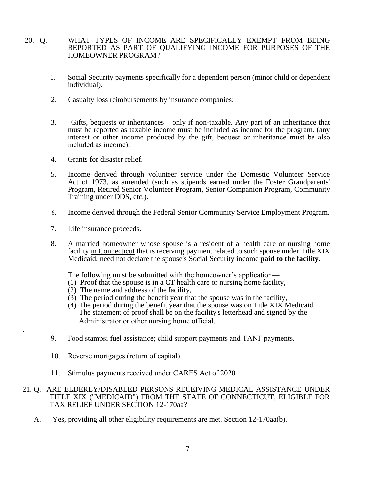# 20. Q. WHAT TYPES OF INCOME ARE SPECIFICALLY EXEMPT FROM BEING REPORTED AS PART OF QUALIFYING INCOME FOR PURPOSES OF THE HOMEOWNER PROGRAM?

- 1. Social Security payments specifically for a dependent person (minor child or dependent individual).
- 2. Casualty loss reimbursements by insurance companies;
- 3. Gifts, bequests or inheritances only if non-taxable. Any part of an inheritance that must be reported as taxable income must be included as income for the program. (any interest or other income produced by the gift, bequest or inheritance must be also included as income).
- 4. Grants for disaster relief.
- 5. Income derived through volunteer service under the Domestic Volunteer Service Act of 1973, as amended (such as stipends earned under the Foster Grandparents' Program, Retired Senior Volunteer Program, Senior Companion Program, Community Training under DDS, etc.).
- 6. Income derived through the Federal Senior Community Service Employment Program.
- 7. Life insurance proceeds.

.

 8. A married homeowner whose spouse is a resident of a health care or nursing home facility in Connecticut that is receiving payment related to such spouse under Title XIX Medicaid, need not declare the spouse's Social Security income **paid to the facility.**

The following must be submitted with the homeowner's application—

- (1) Proof that the spouse is in a CT health care or nursing home facility,
- (2) The name and address of the facility,
- (3) The period during the benefit year that the spouse was in the facility,
- (4) The period during the benefit year that the spouse was on Title XIX Medicaid. The statement of proof shall be on the facility's letterhead and signed by the Administrator or other nursing home official.
- 9. Food stamps; fuel assistance; child support payments and TANF payments.
- 10. Reverse mortgages (return of capital).
- 11. Stimulus payments received under CARES Act of 2020

# 21. Q. ARE ELDERLY/DISABLED PERSONS RECEIVING MEDICAL ASSISTANCE UNDER TITLE XIX ("MEDICAID") FROM THE STATE OF CONNECTICUT, ELIGIBLE FOR TAX RELIEF UNDER SECTION 12-170aa?

A. Yes, providing all other eligibility requirements are met. Section 12-170aa(b).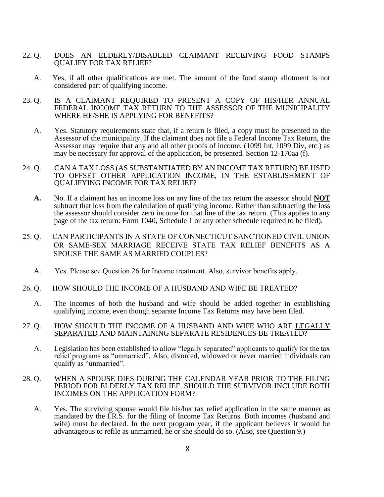- 22. Q. DOES AN ELDERLY/DISABLED CLAIMANT RECEIVING FOOD STAMPS QUALIFY FOR TAX RELIEF?
	- A. Yes, if all other qualifications are met. The amount of the food stamp allotment is not considered part of qualifying income.
- 23. Q. IS A CLAIMANT REQUIRED TO PRESENT A COPY OF HIS/HER ANNUAL FEDERAL INCOME TAX RETURN TO THE ASSESSOR OF THE MUNICIPALITY WHERE HE/SHE IS APPLYING FOR BENEFITS?
	- A. Yes. Statutory requirements state that, if a return is filed, a copy must be presented to the Assessor of the municipality. If the claimant does not file a Federal Income Tax Return, the Assessor may require that any and all other proofs of income, (1099 Int, 1099 Div, etc.) as may be necessary for approval of the application, be presented. Section 12-170aa (f).
- 24. Q. CAN A TAX LOSS (AS SUBSTANTIATED BY AN INCOME TAX RETURN) BE USED TO OFFSET OTHER APPLICATION INCOME, IN THE ESTABLISHMENT OF QUALIFYING INCOME FOR TAX RELIEF?
	- **A.** No. If a claimant has an income loss on any line of the tax return the assessor should **NOT** subtract that loss from the calculation of qualifying income. Rather than subtracting the loss the assessor should consider zero income for that line of the tax return. (This applies to any page of the tax return: Form 1040, Schedule 1 or any other schedule required to be filed).
- 25. Q. CAN PARTICIPANTS IN A STATE OF CONNECTICUT SANCTIONED CIVIL UNION OR SAME-SEX MARRIAGE RECEIVE STATE TAX RELIEF BENEFITS AS A SPOUSE THE SAME AS MARRIED COUPLES?
	- A. Yes. Please see Question 26 for Income treatment. Also, survivor benefits apply.
- 26. Q. HOW SHOULD THE INCOME OF A HUSBAND AND WIFE BE TREATED?
	- A. The incomes of both the husband and wife should be added together in establishing qualifying income, even though separate Income Tax Returns may have been filed.
- 27. Q. HOW SHOULD THE INCOME OF A HUSBAND AND WIFE WHO ARE LEGALLY SEPARATED AND MAINTAINING SEPARATE RESIDENCES BE TREATED?
	- A. Legislation has been established to allow "legally separated" applicants to qualify for the tax relief programs as "unmarried". Also, divorced, widowed or never married individuals can qualify as "unmarried".
- 28. Q. WHEN A SPOUSE DIES DURING THE CALENDAR YEAR PRIOR TO THE FILING PERIOD FOR ELDERLY TAX RELIEF, SHOULD THE SURVIVOR INCLUDE BOTH INCOMES ON THE APPLICATION FORM?
	- A. Yes. The surviving spouse would file his/her tax relief application in the same manner as mandated by the I.R.S. for the filing of Income Tax Returns. Both incomes (husband and wife) must be declared. In the next program year, if the applicant believes it would be advantageous to refile as unmarried, he or she should do so. (Also, see Question 9.)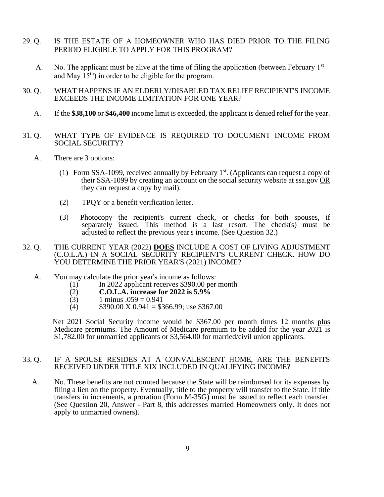- 29. Q. IS THE ESTATE OF A HOMEOWNER WHO HAS DIED PRIOR TO THE FILING PERIOD ELIGIBLE TO APPLY FOR THIS PROGRAM?
	- A. No. The applicant must be alive at the time of filing the application (between February  $1<sup>st</sup>$ and May  $15<sup>th</sup>$  in order to be eligible for the program.
- 30. Q. WHAT HAPPENS IF AN ELDERLY/DISABLED TAX RELIEF RECIPIENT'S INCOME EXCEEDS THE INCOME LIMITATION FOR ONE YEAR?
	- A. If the **\$38,100** or **\$46,400** income limit is exceeded, the applicant is denied relief for the year.
- 31. Q. WHAT TYPE OF EVIDENCE IS REQUIRED TO DOCUMENT INCOME FROM SOCIAL SECURITY?
	- A. There are 3 options:
		- (1) Form SSA-1099, received annually by February  $1<sup>st</sup>$ . (Applicants can request a copy of their SSA-1099 by creating an account on the social security website at ssa.gov OR they can request a copy by mail).
			- (2) TPQY or a benefit verification letter.
			- (3) Photocopy the recipient's current check, or checks for both spouses, if separately issued. This method is a last resort. The check(s) must be adjusted to reflect the previous year's income. (See Question 32.)
- 32. Q. THE CURRENT YEAR (2022) **DOES** INCLUDE A COST OF LIVING ADJUSTMENT (C.O.L.A.) IN A SOCIAL SECURITY RECIPIENT'S CURRENT CHECK. HOW DO YOU DETERMINE THE PRIOR YEAR'S (2021) INCOME?
	- A. You may calculate the prior year's income as follows:
		- (1) In 2022 applicant receives \$390.00 per month
		- (2) **C.O.L.A. increase for 2022 is 5.9%**
		- $(3)$  1 minus  $.059 = 0.941$
		- (4)  $$390.00 \text{ X } 0.941 = $366.99$ ; use \$367.00

 Net 2021 Social Security income would be \$367.00 per month times 12 months plus Medicare premiums. The Amount of Medicare premium to be added for the year 2021 is \$1,782.00 for unmarried applicants or \$3,564.00 for married/civil union applicants.

# 33. Q. IF A SPOUSE RESIDES AT A CONVALESCENT HOME, ARE THE BENEFITS RECEIVED UNDER TITLE XIX INCLUDED IN QUALIFYING INCOME?

 A. No. These benefits are not counted because the State will be reimbursed for its expenses by filing a lien on the property. Eventually, title to the property will transfer to the State. If title transfers in increments, a proration (Form M-35G) must be issued to reflect each transfer. (See Question 20, Answer - Part 8, this addresses married Homeowners only. It does not apply to unmarried owners).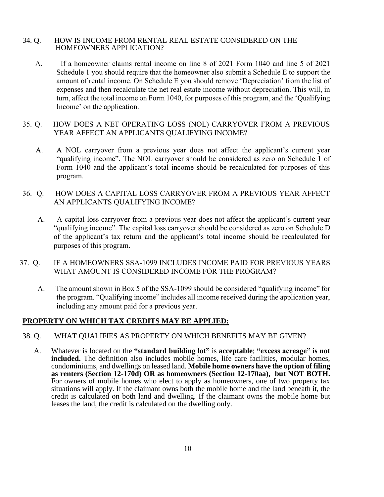# 34. Q. HOW IS INCOME FROM RENTAL REAL ESTATE CONSIDERED ON THE HOMEOWNERS APPLICATION?

- A. If a homeowner claims rental income on line 8 of 2021 Form 1040 and line 5 of 2021 Schedule 1 you should require that the homeowner also submit a Schedule E to support the amount of rental income. On Schedule E you should remove 'Depreciation' from the list of expenses and then recalculate the net real estate income without depreciation. This will, in turn, affect the total income on Form 1040, for purposes of this program, and the 'Qualifying Income' on the application.
- 35. Q. HOW DOES A NET OPERATING LOSS (NOL) CARRYOVER FROM A PREVIOUS YEAR AFFECT AN APPLICANTS QUALIFYING INCOME?
	- A. A NOL carryover from a previous year does not affect the applicant's current year "qualifying income". The NOL carryover should be considered as zero on Schedule 1 of Form 1040 and the applicant's total income should be recalculated for purposes of this program.
- 36. Q. HOW DOES A CAPITAL LOSS CARRYOVER FROM A PREVIOUS YEAR AFFECT AN APPLICANTS QUALIFYING INCOME?
	- A. A capital loss carryover from a previous year does not affect the applicant's current year "qualifying income". The capital loss carryover should be considered as zero on Schedule D of the applicant's tax return and the applicant's total income should be recalculated for purposes of this program.
- 37. Q. IF A HOMEOWNERS SSA-1099 INCLUDES INCOME PAID FOR PREVIOUS YEARS WHAT AMOUNT IS CONSIDERED INCOME FOR THE PROGRAM?
	- A. The amount shown in Box 5 of the SSA-1099 should be considered "qualifying income" for the program. "Qualifying income" includes all income received during the application year, including any amount paid for a previous year.

# **PROPERTY ON WHICH TAX CREDITS MAY BE APPLIED:**

- 38. Q. WHAT QUALIFIES AS PROPERTY ON WHICH BENEFITS MAY BE GIVEN?
	- A. Whatever is located on the **"standard building lot"** is **acceptable**; **"excess acreage" is not included.** The definition also includes mobile homes, life care facilities, modular homes, condominiums, and dwellings on leased land. **Mobile home owners have the option of filing as renters (Section 12-170d) OR as homeowners (Section 12-170aa), but NOT BOTH.** For owners of mobile homes who elect to apply as homeowners, one of two property tax situations will apply. If the claimant owns both the mobile home and the land beneath it, the credit is calculated on both land and dwelling. If the claimant owns the mobile home but leases the land, the credit is calculated on the dwelling only.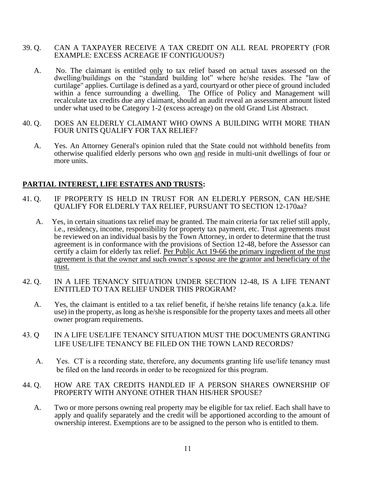# 39. Q. CAN A TAXPAYER RECEIVE A TAX CREDIT ON ALL REAL PROPERTY (FOR EXAMPLE: EXCESS ACREAGE IF CONTIGUOUS?)

- A. No. The claimant is entitled only to tax relief based on actual taxes assessed on the dwelling/buildings on the "standard building lot" where he/she resides. The "law of curtilage" applies. Curtilage is defined as a yard, courtyard or other piece of ground included within a fence surrounding a dwelling. The Office of Policy and Management will recalculate tax credits due any claimant, should an audit reveal an assessment amount listed under what used to be Category 1-2 (excess acreage) on the old Grand List Abstract.
- 40. Q. DOES AN ELDERLY CLAIMANT WHO OWNS A BUILDING WITH MORE THAN FOUR UNITS QUALIFY FOR TAX RELIEF?
	- A. Yes. An Attorney General's opinion ruled that the State could not withhold benefits from otherwise qualified elderly persons who own and reside in multi-unit dwellings of four or more units.

# **PARTIAL INTEREST, LIFE ESTATES AND TRUSTS:**

- 41. Q. IF PROPERTY IS HELD IN TRUST FOR AN ELDERLY PERSON, CAN HE/SHE QUALIFY FOR ELDERLY TAX RELIEF, PURSUANT TO SECTION 12-170aa?
	- A. Yes, in certain situations tax relief may be granted. The main criteria for tax relief still apply, i.e., residency, income, responsibility for property tax payment, etc. Trust agreements must be reviewed on an individual basis by the Town Attorney, in order to determine that the trust agreement is in conformance with the provisions of Section 12-48, before the Assessor can certify a claim for elderly tax relief. Per Public Act 19-66 the primary ingredient of the trust agreement is that the owner and such owner's spouse are the grantor and beneficiary of the trust.
- 42. Q. IN A LIFE TENANCY SITUATION UNDER SECTION 12-48, IS A LIFE TENANT ENTITLED TO TAX RELIEF UNDER THIS PROGRAM?
	- A. Yes, the claimant is entitled to a tax relief benefit, if he/she retains life tenancy (a.k.a. life use) in the property, as long as he/she is responsible for the property taxes and meets all other owner program requirements.
- 43. Q IN A LIFE USE/LIFE TENANCY SITUATION MUST THE DOCUMENTS GRANTING LIFE USE/LIFE TENANCY BE FILED ON THE TOWN LAND RECORDS?
	- A. Yes. CT is a recording state, therefore, any documents granting life use/life tenancy must be filed on the land records in order to be recognized for this program.
- 44. Q. HOW ARE TAX CREDITS HANDLED IF A PERSON SHARES OWNERSHIP OF PROPERTY WITH ANYONE OTHER THAN HIS/HER SPOUSE?
	- A. Two or more persons owning real property may be eligible for tax relief. Each shall have to apply and qualify separately and the credit will be apportioned according to the amount of ownership interest. Exemptions are to be assigned to the person who is entitled to them.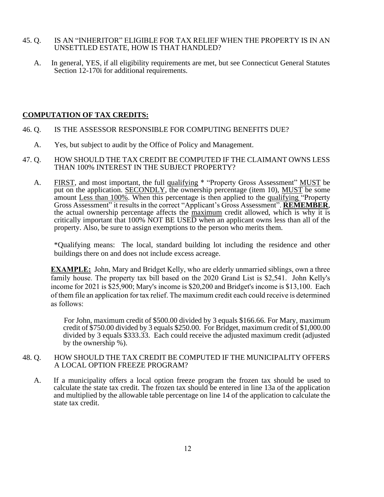# 45. Q. IS AN "INHERITOR" ELIGIBLE FOR TAX RELIEF WHEN THE PROPERTY IS IN AN UNSETTLED ESTATE, HOW IS THAT HANDLED?

 A. In general, YES, if all eligibility requirements are met, but see Connecticut General Statutes Section 12-170i for additional requirements.

# **COMPUTATION OF TAX CREDITS:**

- 46. Q. IS THE ASSESSOR RESPONSIBLE FOR COMPUTING BENEFITS DUE?
	- A. Yes, but subject to audit by the Office of Policy and Management.
- 47. Q. HOW SHOULD THE TAX CREDIT BE COMPUTED IF THE CLAIMANT OWNS LESS THAN 100% INTEREST IN THE SUBJECT PROPERTY?
	- A. FIRST, and most important, the full qualifying \* "Property Gross Assessment" MUST be put on the application. SECONDLY, the ownership percentage (item 10), MUST be some amount Less than 100%. When this percentage is then applied to the qualifying "Property Gross Assessment" it results in the correct "Applicant's Gross Assessment". **REMEMBER**, the actual ownership percentage affects the maximum credit allowed, which is why it is critically important that 100% NOT BE USED when an applicant owns less than all of the property. Also, be sure to assign exemptions to the person who merits them.

\*Qualifying means: The local, standard building lot including the residence and other buildings there on and does not include excess acreage.

**EXAMPLE:** John, Mary and Bridget Kelly, who are elderly unmarried siblings, own a three family house. The property tax bill based on the 2020 Grand List is \$2,541. John Kelly's income for 2021 is \$25,900; Mary's income is \$20,200 and Bridget's income is \$13,100. Each of them file an application for tax relief. The maximum credit each could receive is determined as follows:

 For John, maximum credit of \$500.00 divided by 3 equals \$166.66. For Mary, maximum credit of \$750.00 divided by 3 equals \$250.00. For Bridget, maximum credit of \$1,000.00 divided by 3 equals \$333.33. Each could receive the adjusted maximum credit (adjusted by the ownership %).

# 48. Q. HOW SHOULD THE TAX CREDIT BE COMPUTED IF THE MUNICIPALITY OFFERS A LOCAL OPTION FREEZE PROGRAM?

A. If a municipality offers a local option freeze program the frozen tax should be used to calculate the state tax credit. The frozen tax should be entered in line 13a of the application and multiplied by the allowable table percentage on line 14 of the application to calculate the state tax credit.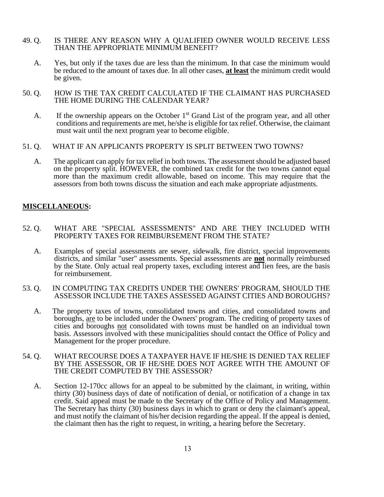# 49. Q. IS THERE ANY REASON WHY A QUALIFIED OWNER WOULD RECEIVE LESS THAN THE APPROPRIATE MINIMUM BENEFIT?

- A. Yes, but only if the taxes due are less than the minimum. In that case the minimum would be reduced to the amount of taxes due. In all other cases, **at least** the minimum credit would be given.
- 50. Q. HOW IS THE TAX CREDIT CALCULATED IF THE CLAIMANT HAS PURCHASED THE HOME DURING THE CALENDAR YEAR?
	- A. If the ownership appears on the October  $1<sup>st</sup>$  Grand List of the program year, and all other conditions and requirements are met, he/she is eligible for tax relief. Otherwise, the claimant must wait until the next program year to become eligible.
- 51. Q. WHAT IF AN APPLICANTS PROPERTY IS SPLIT BETWEEN TWO TOWNS?
	- A. The applicant can apply for tax relief in both towns. The assessment should be adjusted based on the property split. HOWEVER, the combined tax credit for the two towns cannot equal more than the maximum credit allowable, based on income. This may require that the assessors from both towns discuss the situation and each make appropriate adjustments.

# **MISCELLANEOUS:**

- 52. Q. WHAT ARE "SPECIAL ASSESSMENTS" AND ARE THEY INCLUDED WITH PROPERTY TAXES FOR REIMBURSEMENT FROM THE STATE?
	- A. Examples of special assessments are sewer, sidewalk, fire district, special improvements districts, and similar "user" assessments. Special assessments are **not** normally reimbursed by the State. Only actual real property taxes, excluding interest and lien fees, are the basis for reimbursement.
- 53. Q. IN COMPUTING TAX CREDITS UNDER THE OWNERS' PROGRAM, SHOULD THE ASSESSOR INCLUDE THE TAXES ASSESSED AGAINST CITIES AND BOROUGHS?
	- A. The property taxes of towns, consolidated towns and cities, and consolidated towns and boroughs, are to be included under the Owners' program. The crediting of property taxes of cities and boroughs not consolidated with towns must be handled on an individual town basis. Assessors involved with these municipalities should contact the Office of Policy and Management for the proper procedure.
- 54. Q. WHAT RECOURSE DOES A TAXPAYER HAVE IF HE/SHE IS DENIED TAX RELIEF BY THE ASSESSOR, OR IF HE/SHE DOES NOT AGREE WITH THE AMOUNT OF THE CREDIT COMPUTED BY THE ASSESSOR?
	- A. Section 12-170cc allows for an appeal to be submitted by the claimant, in writing, within thirty (30) business days of date of notification of denial, or notification of a change in tax credit. Said appeal must be made to the Secretary of the Office of Policy and Management. The Secretary has thirty (30) business days in which to grant or deny the claimant's appeal, and must notify the claimant of his/her decision regarding the appeal. If the appeal is denied, the claimant then has the right to request, in writing, a hearing before the Secretary.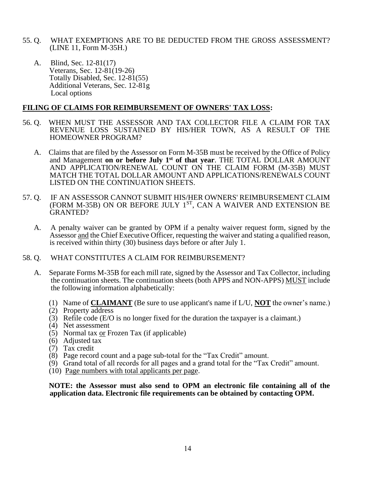- 55. Q. WHAT EXEMPTIONS ARE TO BE DEDUCTED FROM THE GROSS ASSESSMENT? (LINE 11, Form M-35H.)
	- A. Blind, Sec. 12-81(17) Veterans, Sec. 12-81(19-26) Totally Disabled, Sec. 12-81(55) Additional Veterans, Sec. 12-81g Local options

# **FILING OF CLAIMS FOR REIMBURSEMENT OF OWNERS' TAX LOSS:**

- 56. Q. WHEN MUST THE ASSESSOR AND TAX COLLECTOR FILE A CLAIM FOR TAX REVENUE LOSS SUSTAINED BY HIS/HER TOWN, AS A RESULT OF THE HOMEOWNER PROGRAM?
	- A. Claims that are filed by the Assessor on Form M-35B must be received by the Office of Policy and Management **on or before July 1st of that year**. THE TOTAL DOLLAR AMOUNT AND APPLICATION/RENEWAL COUNT ON THE CLAIM FORM (M-35B) MUST MATCH THE TOTAL DOLLAR AMOUNT AND APPLICATIONS/RENEWALS COUNT LISTED ON THE CONTINUATION SHEETS.
- 57. Q. IF AN ASSESSOR CANNOT SUBMIT HIS/HER OWNERS' REIMBURSEMENT CLAIM (FORM M-35B) ON OR BEFORE JULY 1ST, CAN A WAIVER AND EXTENSION BE GRANTED?
	- A. A penalty waiver can be granted by OPM if a penalty waiver request form, signed by the Assessor and the Chief Executive Officer, requesting the waiver and stating a qualified reason, is received within thirty (30) business days before or after July 1.
- 58. Q. WHAT CONSTITUTES A CLAIM FOR REIMBURSEMENT?
	- A. Separate Forms M-35B for each mill rate, signed by the Assessor and Tax Collector, including the continuation sheets. The continuation sheets (both APPS and NON-APPS) MUST include the following information alphabetically:
		- (1) Name of **CLAIMANT** (Be sure to use applicant's name if L/U, **NOT** the owner's name.)
		- (2) Property address
		- (3) Refile code (E/O is no longer fixed for the duration the taxpayer is a claimant.)
		- (4) Net assessment
		- (5) Normal tax or Frozen Tax (if applicable)
		- (6) Adjusted tax
		- (7) Tax credit
		- (8) Page record count and a page sub-total for the "Tax Credit" amount.
		- (9) Grand total of all records for all pages and a grand total for the "Tax Credit" amount.
		- (10) Page numbers with total applicants per page.

 **NOTE: the Assessor must also send to OPM an electronic file containing all of the application data. Electronic file requirements can be obtained by contacting OPM.**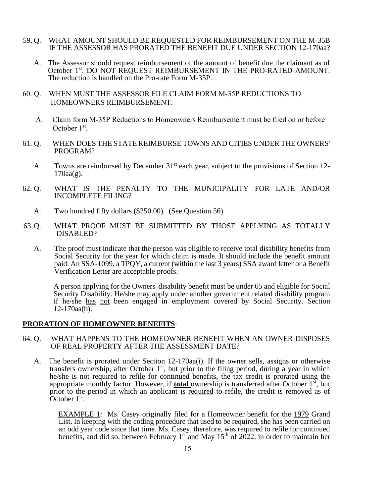- 59. Q. WHAT AMOUNT SHOULD BE REQUESTED FOR REIMBURSEMENT ON THE M-35B IF THE ASSESSOR HAS PRORATED THE BENEFIT DUE UNDER SECTION 12-170aa?
	- A. The Assessor should request reimbursement of the amount of benefit due the claimant as of October 1st. DO NOT REQUEST REIMBURSEMENT IN THE PRO-RATED AMOUNT. The reduction is handled on the Pro-rate Form M-35P.
- 60. Q. WHEN MUST THE ASSESSOR FILE CLAIM FORM M-35P REDUCTIONS TO HOMEOWNERS REIMBURSEMENT.
- A. Claim form M-35P Reductions to Homeowners Reimbursement must be filed on or before October 1<sup>st</sup>.
- 61. Q. WHEN DOES THE STATE REIMBURSE TOWNS AND CITIES UNDER THE OWNERS' PROGRAM?
	- A. Towns are reimbursed by December 31<sup>st</sup> each year, subject to the provisions of Section 12- $170$ aa $(g)$ .
- 62. Q. WHAT IS THE PENALTY TO THE MUNICIPALITY FOR LATE AND/OR INCOMPLETE FILING?
	- A. Two hundred fifty dollars (\$250.00). (See Question 56)
- 63.Q. WHAT PROOF MUST BE SUBMITTED BY THOSE APPLYING AS TOTALLY DISABLED?
	- A. The proof must indicate that the person was eligible to receive total disability benefits from Social Security for the year for which claim is made. It should include the benefit amount paid. An SSA-1099, a TPQY, a current (within the last 3 years) SSA award letter or a Benefit Verification Letter are acceptable proofs.

 A person applying for the Owners' disability benefit must be under 65 and eligible for Social Security Disability. He/she may apply under another government related disability program if he/she has not been engaged in employment covered by Social Security. Section 12-170aa(b).

# **PRORATION OF HOMEOWNER BENEFITS**:

- 64. Q. WHAT HAPPENS TO THE HOMEOWNER BENEFIT WHEN AN OWNER DISPOSES OF REAL PROPERTY AFTER THE ASSESSMENT DATE?
	- A. The benefit is prorated under Section 12-170aa(i). If the owner sells, assigns or otherwise transfers ownership, after October  $1<sup>st</sup>$ , but prior to the filing period, during a year in which he/she is not required to refile for continued benefits, the tax credit is prorated using the appropriate monthly factor. However, if **total** ownership is transferred after October 1<sup>st</sup>, but prior to the period in which an applicant is required to refile, the credit is removed as of  $\overline{\text{October 1}^{\text{st}}}.$

EXAMPLE 1: Ms. Casey originally filed for a Homeowner benefit for the 1979 Grand List. In keeping with the coding procedure that used to be required, she has been carried on an odd year code since that time. Ms. Casey, therefore, was required to refile for continued benefits, and did so, between February  $1<sup>st</sup>$  and May  $15<sup>th</sup>$  of 2022, in order to maintain her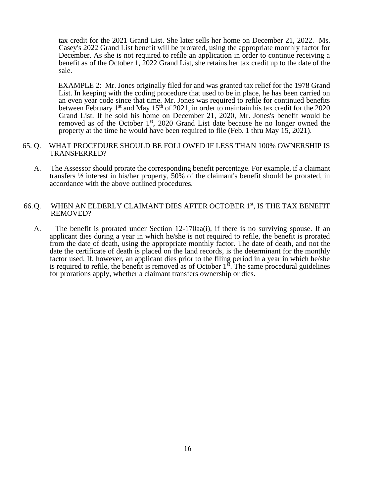tax credit for the 2021 Grand List. She later sells her home on December 21, 2022. Ms. Casey's 2022 Grand List benefit will be prorated, using the appropriate monthly factor for December. As she is not required to refile an application in order to continue receiving a benefit as of the October 1, 2022 Grand List, she retains her tax credit up to the date of the sale.

 EXAMPLE 2: Mr. Jones originally filed for and was granted tax relief for the 1978 Grand List. In keeping with the coding procedure that used to be in place, he has been carried on an even year code since that time. Mr. Jones was required to refile for continued benefits between February 1<sup>st</sup> and May 15<sup>th</sup> of 2021, in order to maintain his tax credit for the 2020 Grand List. If he sold his home on December 21, 2020, Mr. Jones's benefit would be removed as of the October  $1<sup>st</sup>$ , 2020 Grand List date because he no longer owned the property at the time he would have been required to file (Feb. 1 thru May 15, 2021).

#### 65. Q. WHAT PROCEDURE SHOULD BE FOLLOWED IF LESS THAN 100% OWNERSHIP IS TRANSFERRED?

 A. The Assessor should prorate the corresponding benefit percentage. For example, if a claimant transfers ½ interest in his/her property, 50% of the claimant's benefit should be prorated, in accordance with the above outlined procedures.

# 66.Q. WHEN AN ELDERLY CLAIMANT DIES AFTER OCTOBER 1st, IS THE TAX BENEFIT REMOVED?

 A. The benefit is prorated under Section 12-170aa(i), if there is no surviving spouse. If an applicant dies during a year in which he/she is not required to refile, the benefit is prorated from the date of death, using the appropriate monthly factor. The date of death, and not the date the certificate of death is placed on the land records, is the determinant for the monthly factor used. If, however, an applicant dies prior to the filing period in a year in which he/she is required to refile, the benefit is removed as of October  $1<sup>st</sup>$ . The same procedural guidelines for prorations apply, whether a claimant transfers ownership or dies.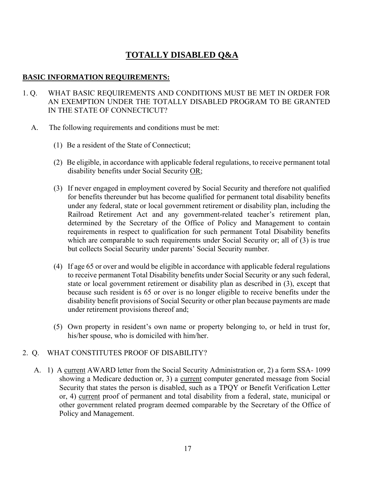# **TOTALLY DISABLED Q&A**

# **BASIC INFORMATION REQUIREMENTS:**

- 1. Q. WHAT BASIC REQUIREMENTS AND CONDITIONS MUST BE MET IN ORDER FOR AN EXEMPTION UNDER THE TOTALLY DISABLED PROGRAM TO BE GRANTED IN THE STATE OF CONNECTICUT?
	- A. The following requirements and conditions must be met:
		- (1) Be a resident of the State of Connecticut;
		- (2) Be eligible, in accordance with applicable federal regulations, to receive permanent total disability benefits under Social Security OR;
		- (3) If never engaged in employment covered by Social Security and therefore not qualified for benefits thereunder but has become qualified for permanent total disability benefits under any federal, state or local government retirement or disability plan, including the Railroad Retirement Act and any government-related teacher's retirement plan, determined by the Secretary of the Office of Policy and Management to contain requirements in respect to qualification for such permanent Total Disability benefits which are comparable to such requirements under Social Security or; all of (3) is true but collects Social Security under parents' Social Security number.
		- (4) If age 65 or over and would be eligible in accordance with applicable federal regulations to receive permanent Total Disability benefits under Social Security or any such federal, state or local government retirement or disability plan as described in (3), except that because such resident is 65 or over is no longer eligible to receive benefits under the disability benefit provisions of Social Security or other plan because payments are made under retirement provisions thereof and;
		- (5) Own property in resident's own name or property belonging to, or held in trust for, his/her spouse, who is domiciled with him/her.

# 2. Q. WHAT CONSTITUTES PROOF OF DISABILITY?

A. 1) A current AWARD letter from the Social Security Administration or, 2) a form SSA- 1099 showing a Medicare deduction or, 3) a current computer generated message from Social Security that states the person is disabled, such as a TPQY or Benefit Verification Letter or, 4) current proof of permanent and total disability from a federal, state, municipal or other government related program deemed comparable by the Secretary of the Office of Policy and Management.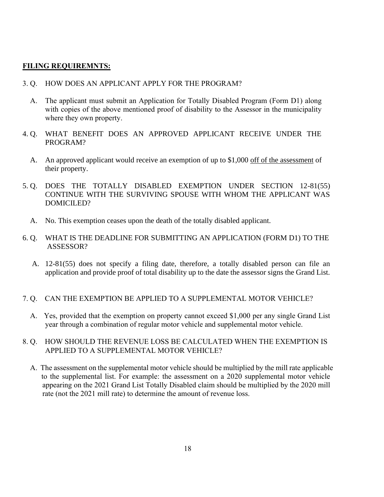# **FILING REQUIREMNTS:**

- 3. Q. HOW DOES AN APPLICANT APPLY FOR THE PROGRAM?
	- A. The applicant must submit an Application for Totally Disabled Program (Form D1) along with copies of the above mentioned proof of disability to the Assessor in the municipality where they own property.
- 4. Q. WHAT BENEFIT DOES AN APPROVED APPLICANT RECEIVE UNDER THE PROGRAM?
	- A. An approved applicant would receive an exemption of up to \$1,000 off of the assessment of their property.
- 5. Q. DOES THE TOTALLY DISABLED EXEMPTION UNDER SECTION 12-81(55) CONTINUE WITH THE SURVIVING SPOUSE WITH WHOM THE APPLICANT WAS DOMICILED?
	- A. No. This exemption ceases upon the death of the totally disabled applicant.
- 6. Q. WHAT IS THE DEADLINE FOR SUBMITTING AN APPLICATION (FORM D1) TO THE ASSESSOR?
	- A. 12-81(55) does not specify a filing date, therefore, a totally disabled person can file an application and provide proof of total disability up to the date the assessor signs the Grand List.

# 7. Q. CAN THE EXEMPTION BE APPLIED TO A SUPPLEMENTAL MOTOR VEHICLE?

 A. Yes, provided that the exemption on property cannot exceed \$1,000 per any single Grand List year through a combination of regular motor vehicle and supplemental motor vehicle.

# 8. Q. HOW SHOULD THE REVENUE LOSS BE CALCULATED WHEN THE EXEMPTION IS APPLIED TO A SUPPLEMENTAL MOTOR VEHICLE?

 A. The assessment on the supplemental motor vehicle should be multiplied by the mill rate applicable to the supplemental list. For example: the assessment on a 2020 supplemental motor vehicle appearing on the 2021 Grand List Totally Disabled claim should be multiplied by the 2020 mill rate (not the 2021 mill rate) to determine the amount of revenue loss.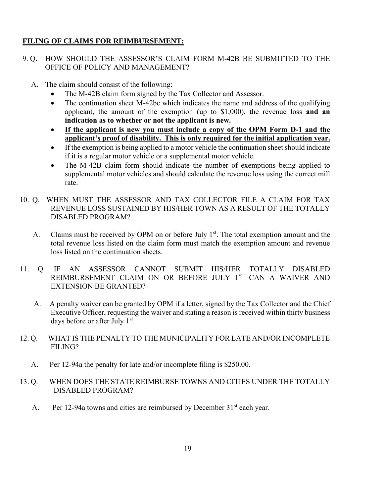# **FILING OF CLAIMS FOR REIMBURSEMENT:**

# 9. Q. HOW SHOULD THE ASSESSOR'S CLAIM FORM M-42B BE SUBMITTED TO THE OFFICE OF POLICY AND MANAGEMENT?

- A. The claim should consist of the following:
	- The M-42B claim form signed by the Tax Collector and Assessor.
	- The continuation sheet M-42bc which indicates the name and address of the qualifying applicant, the amount of the exemption (up to \$1,000), the revenue loss **and an indication as to whether or not the applicant is new.**
	- **If the applicant is new you must include a copy of the OPM Form D-1 and the applicant's proof of disability. This is only required for the initial application year.**
	- If the exemption is being applied to a motor vehicle the continuation sheet should indicate if it is a regular motor vehicle or a supplemental motor vehicle.
	- The M-42B claim form should indicate the number of exemptions being applied to supplemental motor vehicles and should calculate the revenue loss using the correct mill rate.
- 10. Q. WHEN MUST THE ASSESSOR AND TAX COLLECTOR FILE A CLAIM FOR TAX REVENUE LOSS SUSTAINED BY HIS/HER TOWN AS A RESULT OF THE TOTALLY DISABLED PROGRAM?
	- A. Claims must be received by OPM on or before July  $1<sup>st</sup>$ . The total exemption amount and the total revenue loss listed on the claim form must match the exemption amount and revenue loss listed on the continuation sheets.
- 11. Q. IF AN ASSESSOR CANNOT SUBMIT HIS/HER TOTALLY DISABLED REIMBURSEMENT CLAIM ON OR BEFORE JULY 1ST CAN A WAIVER AND EXTENSION BE GRANTED?
	- A. A penalty waiver can be granted by OPM if a letter, signed by the Tax Collector and the Chief Executive Officer, requesting the waiver and stating a reason is received within thirty business days before or after July 1st.
- 12. Q. WHAT IS THE PENALTY TO THE MUNICIPALITY FOR LATE AND/OR INCOMPLETE FILING?
	- A. Per 12-94a the penalty for late and/or incomplete filing is \$250.00.
- 13. Q. WHEN DOES THE STATE REIMBURSE TOWNS AND CITIES UNDER THE TOTALLY DISABLED PROGRAM?
	- A. Per 12-94a towns and cities are reimbursed by December  $31<sup>st</sup>$  each year.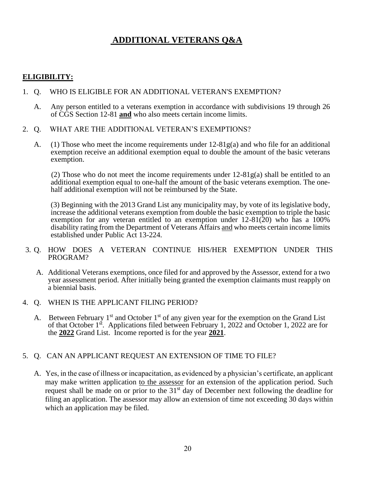# **ADDITIONAL VETERANS Q&A**

# **ELIGIBILITY:**

#### 1. Q. WHO IS ELIGIBLE FOR AN ADDITIONAL VETERAN'S EXEMPTION?

- A. Any person entitled to a veterans exemption in accordance with subdivisions 19 through 26 of CGS Section 12-81 **and** who also meets certain income limits.
- 2. Q. WHAT ARE THE ADDITIONAL VETERAN'S EXEMPTIONS?
	- A. (1) Those who meet the income requirements under 12-81g(a) and who file for an additional exemption receive an additional exemption equal to double the amount of the basic veterans exemption.

(2) Those who do not meet the income requirements under  $12-81g(a)$  shall be entitled to an additional exemption equal to one-half the amount of the basic veterans exemption. The onehalf additional exemption will not be reimbursed by the State.

 (3) Beginning with the 2013 Grand List any municipality may, by vote of its legislative body, increase the additional veterans exemption from double the basic exemption to triple the basic exemption for any veteran entitled to an exemption under  $12-81(20)$  who has a 100% disability rating from the Department of Veterans Affairs and who meets certain income limits established under Public Act 13-224.

# 3. Q. HOW DOES A VETERAN CONTINUE HIS/HER EXEMPTION UNDER THIS PROGRAM?

- A. Additional Veterans exemptions, once filed for and approved by the Assessor, extend for a two year assessment period. After initially being granted the exemption claimants must reapply on a biennial basis.
- 4. Q. WHEN IS THE APPLICANT FILING PERIOD?
	- A. Between February  $1<sup>st</sup>$  and October  $1<sup>st</sup>$  of any given year for the exemption on the Grand List of that October 1st. Applications filed between February 1, 2022 and October 1, 2022 are for the **2022** Grand List. Income reported is for the year **2021**.

# 5. Q. CAN AN APPLICANT REQUEST AN EXTENSION OF TIME TO FILE?

 A. Yes, in the case of illness or incapacitation, as evidenced by a physician's certificate, an applicant may make written application to the assessor for an extension of the application period. Such request shall be made on or prior to the 31<sup>st</sup> day of December next following the deadline for filing an application. The assessor may allow an extension of time not exceeding 30 days within which an application may be filed.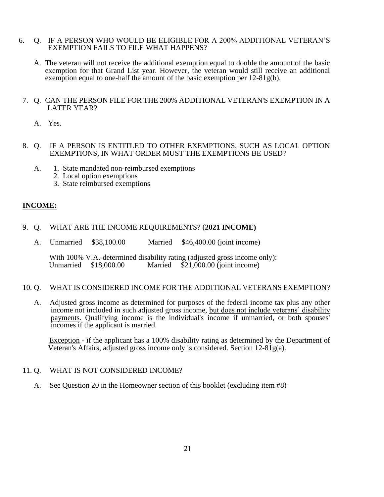# 6. Q. IF A PERSON WHO WOULD BE ELIGIBLE FOR A 200% ADDITIONAL VETERAN'S EXEMPTION FAILS TO FILE WHAT HAPPENS?

A. The veteran will not receive the additional exemption equal to double the amount of the basic exemption for that Grand List year. However, the veteran would still receive an additional exemption equal to one-half the amount of the basic exemption per 12-81g(b).

# 7. Q. CAN THE PERSON FILE FOR THE 200% ADDITIONAL VETERAN'S EXEMPTION IN A LATER YEAR?

- A. Yes.
- 8. Q. IF A PERSON IS ENTITLED TO OTHER EXEMPTIONS, SUCH AS LOCAL OPTION EXEMPTIONS, IN WHAT ORDER MUST THE EXEMPTIONS BE USED?
	- A. 1. State mandated non-reimbursed exemptions
		- 2. Local option exemptions
		- 3. State reimbursed exemptions

# **INCOME:**

# 9. Q. WHAT ARE THE INCOME REQUIREMENTS? (**2021 INCOME)**

A. Unmarried \$38,100.00 Married \$46,400.00 (joint income)

With 100% V.A.-determined disability rating (adjusted gross income only):<br>Unmarried \$18,000.00 Married \$21,000.00 (joint income)  $$21,000.00$  (joint income)

#### 10. Q. WHAT IS CONSIDERED INCOME FOR THE ADDITIONAL VETERANS EXEMPTION?

A. Adjusted gross income as determined for purposes of the federal income tax plus any other income not included in such adjusted gross income, but does not include veterans' disability payments. Qualifying income is the individual's income if unmarried, or both spouses' incomes if the applicant is married.

 Exception - if the applicant has a 100% disability rating as determined by the Department of Veteran's Affairs, adjusted gross income only is considered. Section  $12-81g(a)$ .

# 11. Q. WHAT IS NOT CONSIDERED INCOME?

A. See Question 20 in the Homeowner section of this booklet (excluding item #8)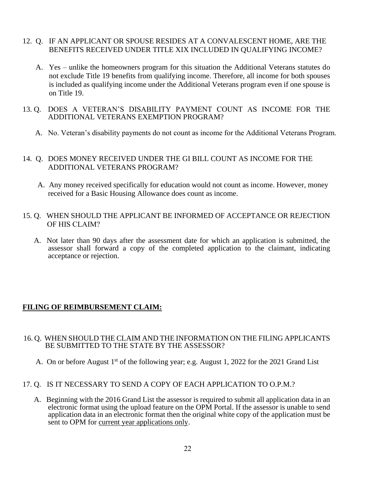- 12. Q. IF AN APPLICANT OR SPOUSE RESIDES AT A CONVALESCENT HOME, ARE THE BENEFITS RECEIVED UNDER TITLE XIX INCLUDED IN QUALIFYING INCOME?
	- A. Yes unlike the homeowners program for this situation the Additional Veterans statutes do not exclude Title 19 benefits from qualifying income. Therefore, all income for both spouses is included as qualifying income under the Additional Veterans program even if one spouse is on Title 19.
- 13. Q. DOES A VETERAN'S DISABILITY PAYMENT COUNT AS INCOME FOR THE ADDITIONAL VETERANS EXEMPTION PROGRAM?
	- A. No. Veteran's disability payments do not count as income for the Additional Veterans Program.

# 14. Q. DOES MONEY RECEIVED UNDER THE GI BILL COUNT AS INCOME FOR THE ADDITIONAL VETERANS PROGRAM?

- A. Any money received specifically for education would not count as income. However, money received for a Basic Housing Allowance does count as income.
- 15. Q. WHEN SHOULD THE APPLICANT BE INFORMED OF ACCEPTANCE OR REJECTION OF HIS CLAIM?
	- A. Not later than 90 days after the assessment date for which an application is submitted, the assessor shall forward a copy of the completed application to the claimant, indicating acceptance or rejection.

# **FILING OF REIMBURSEMENT CLAIM:**

# 16. Q. WHEN SHOULD THE CLAIM AND THE INFORMATION ON THE FILING APPLICANTS BE SUBMITTED TO THE STATE BY THE ASSESSOR?

- A. On or before August 1<sup>st</sup> of the following year; e.g. August 1, 2022 for the 2021 Grand List
- 17. Q. IS IT NECESSARY TO SEND A COPY OF EACH APPLICATION TO O.P.M.?
	- A. Beginning with the 2016 Grand List the assessor is required to submit all application data in an electronic format using the upload feature on the OPM Portal. If the assessor is unable to send application data in an electronic format then the original white copy of the application must be sent to OPM for current year applications only.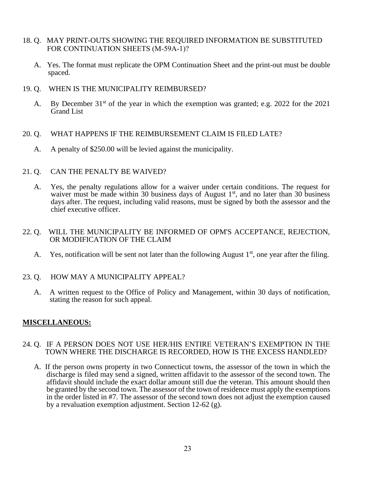- 18. Q. MAY PRINT-OUTS SHOWING THE REQUIRED INFORMATION BE SUBSTITUTED FOR CONTINUATION SHEETS (M-59A-1)?
	- A. Yes. The format must replicate the OPM Continuation Sheet and the print-out must be double spaced.
- 19. Q. WHEN IS THE MUNICIPALITY REIMBURSED?
	- A. By December 31<sup>st</sup> of the year in which the exemption was granted; e.g. 2022 for the 2021 Grand List
- 20. Q. WHAT HAPPENS IF THE REIMBURSEMENT CLAIM IS FILED LATE?
	- A. A penalty of \$250.00 will be levied against the municipality.
- 21. Q. CAN THE PENALTY BE WAIVED?
	- A. Yes, the penalty regulations allow for a waiver under certain conditions. The request for waiver must be made within 30 business days of August  $1<sup>st</sup>$ , and no later than 30 business days after. The request, including valid reasons, must be signed by both the assessor and the chief executive officer.
- 22. Q. WILL THE MUNICIPALITY BE INFORMED OF OPM'S ACCEPTANCE, REJECTION, OR MODIFICATION OF THE CLAIM
	- A. Yes, notification will be sent not later than the following August  $1<sup>st</sup>$ , one year after the filing.
- 23. Q. HOW MAY A MUNICIPALITY APPEAL?
	- A. A written request to the Office of Policy and Management, within 30 days of notification, stating the reason for such appeal.

# **MISCELLANEOUS:**

- 24. Q. IF A PERSON DOES NOT USE HER/HIS ENTIRE VETERAN'S EXEMPTION IN THE TOWN WHERE THE DISCHARGE IS RECORDED, HOW IS THE EXCESS HANDLED?
	- A. If the person owns property in two Connecticut towns, the assessor of the town in which the discharge is filed may send a signed, written affidavit to the assessor of the second town. The affidavit should include the exact dollar amount still due the veteran. This amount should then be granted by the second town. The assessor of the town of residence must apply the exemptions in the order listed in #7. The assessor of the second town does not adjust the exemption caused by a revaluation exemption adjustment. Section 12-62 (g).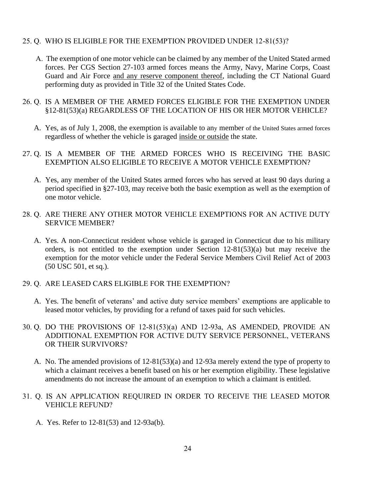# 25. Q. WHO IS ELIGIBLE FOR THE EXEMPTION PROVIDED UNDER 12-81(53)?

 A. The exemption of one motor vehicle can be claimed by any member of the United Stated armed forces. Per CGS Section 27-103 armed forces means the Army, Navy, Marine Corps, Coast Guard and Air Force and any reserve component thereof, including the CT National Guard performing duty as provided in Title 32 of the United States Code.

# 26. Q. IS A MEMBER OF THE ARMED FORCES ELIGIBLE FOR THE EXEMPTION UNDER §12-81(53)(a) REGARDLESS OF THE LOCATION OF HIS OR HER MOTOR VEHICLE?

- A. Yes, as of July 1, 2008, the exemption is available to any member of the United States armed forces regardless of whether the vehicle is garaged inside or outside the state.
- 27. Q. IS A MEMBER OF THE ARMED FORCES WHO IS RECEIVING THE BASIC EXEMPTION ALSO ELIGIBLE TO RECEIVE A MOTOR VEHICLE EXEMPTION?
	- A. Yes, any member of the United States armed forces who has served at least 90 days during a period specified in §27-103, may receive both the basic exemption as well as the exemption of one motor vehicle.
- 28. Q. ARE THERE ANY OTHER MOTOR VEHICLE EXEMPTIONS FOR AN ACTIVE DUTY SERVICE MEMBER?
	- A. Yes. A non-Connecticut resident whose vehicle is garaged in Connecticut due to his military orders, is not entitled to the exemption under Section 12-81(53)(a) but may receive the exemption for the motor vehicle under the Federal Service Members Civil Relief Act of 2003 (50 USC 501, et sq.).
- 29. Q. ARE LEASED CARS ELIGIBLE FOR THE EXEMPTION?
	- A. Yes. The benefit of veterans' and active duty service members' exemptions are applicable to leased motor vehicles, by providing for a refund of taxes paid for such vehicles.
- 30. Q. DO THE PROVISIONS OF 12-81(53)(a) AND 12-93a, AS AMENDED, PROVIDE AN ADDITIONAL EXEMPTION FOR ACTIVE DUTY SERVICE PERSONNEL, VETERANS OR THEIR SURVIVORS?
	- A. No. The amended provisions of 12-81(53)(a) and 12-93a merely extend the type of property to which a claimant receives a benefit based on his or her exemption eligibility. These legislative amendments do not increase the amount of an exemption to which a claimant is entitled.
- 31. Q. IS AN APPLICATION REQUIRED IN ORDER TO RECEIVE THE LEASED MOTOR VEHICLE REFUND?
	- A. Yes. Refer to 12-81(53) and 12-93a(b).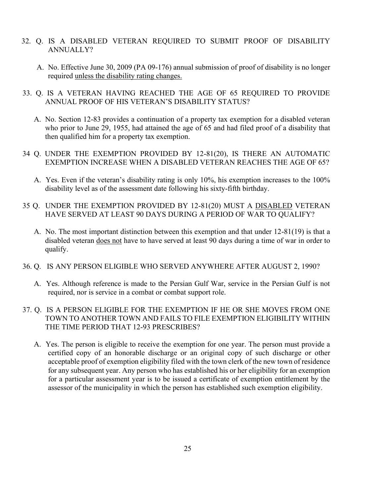- 32. Q. IS A DISABLED VETERAN REQUIRED TO SUBMIT PROOF OF DISABILITY ANNUALLY?
	- A. No. Effective June 30, 2009 (PA 09-176) annual submission of proof of disability is no longer required unless the disability rating changes.
- 33. Q. IS A VETERAN HAVING REACHED THE AGE OF 65 REQUIRED TO PROVIDE ANNUAL PROOF OF HIS VETERAN'S DISABILITY STATUS?
	- A. No. Section 12-83 provides a continuation of a property tax exemption for a disabled veteran who prior to June 29, 1955, had attained the age of 65 and had filed proof of a disability that then qualified him for a property tax exemption.
- 34 Q. UNDER THE EXEMPTION PROVIDED BY 12-81(20), IS THERE AN AUTOMATIC EXEMPTION INCREASE WHEN A DISABLED VETERAN REACHES THE AGE OF 65?
	- A. Yes. Even if the veteran's disability rating is only 10%, his exemption increases to the 100% disability level as of the assessment date following his sixty-fifth birthday.
- 35 Q. UNDER THE EXEMPTION PROVIDED BY 12-81(20) MUST A DISABLED VETERAN HAVE SERVED AT LEAST 90 DAYS DURING A PERIOD OF WAR TO QUALIFY?
	- A. No. The most important distinction between this exemption and that under 12-81(19) is that a disabled veteran does not have to have served at least 90 days during a time of war in order to qualify.
- 36. Q. IS ANY PERSON ELIGIBLE WHO SERVED ANYWHERE AFTER AUGUST 2, 1990?
	- A. Yes. Although reference is made to the Persian Gulf War, service in the Persian Gulf is not required, nor is service in a combat or combat support role.
- 37. Q. IS A PERSON ELIGIBLE FOR THE EXEMPTION IF HE OR SHE MOVES FROM ONE TOWN TO ANOTHER TOWN AND FAILS TO FILE EXEMPTION ELIGIBILITY WITHIN THE TIME PERIOD THAT 12-93 PRESCRIBES?
	- A. Yes. The person is eligible to receive the exemption for one year. The person must provide a certified copy of an honorable discharge or an original copy of such discharge or other acceptable proof of exemption eligibility filed with the town clerk of the new town of residence for any subsequent year. Any person who has established his or her eligibility for an exemption for a particular assessment year is to be issued a certificate of exemption entitlement by the assessor of the municipality in which the person has established such exemption eligibility.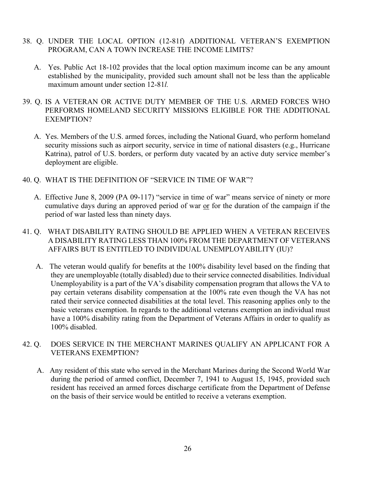- 38. Q. UNDER THE LOCAL OPTION (12-81f) ADDITIONAL VETERAN'S EXEMPTION PROGRAM, CAN A TOWN INCREASE THE INCOME LIMITS?
	- A. Yes. Public Act 18-102 provides that the local option maximum income can be any amount established by the municipality, provided such amount shall not be less than the applicable maximum amount under section 12-81*l.*
- 39. Q. IS A VETERAN OR ACTIVE DUTY MEMBER OF THE U.S. ARMED FORCES WHO PERFORMS HOMELAND SECURITY MISSIONS ELIGIBLE FOR THE ADDITIONAL EXEMPTION?
	- A. Yes. Members of the U.S. armed forces, including the National Guard, who perform homeland security missions such as airport security, service in time of national disasters (e.g., Hurricane Katrina), patrol of U.S. borders, or perform duty vacated by an active duty service member's deployment are eligible.
- 40. Q. WHAT IS THE DEFINITION OF "SERVICE IN TIME OF WAR"?
	- A. Effective June 8, 2009 (PA 09-117) "service in time of war" means service of ninety or more cumulative days during an approved period of war or for the duration of the campaign if the period of war lasted less than ninety days.
- 41. Q. WHAT DISABILITY RATING SHOULD BE APPLIED WHEN A VETERAN RECEIVES A DISABILITY RATING LESS THAN 100% FROM THE DEPARTMENT OF VETERANS AFFAIRS BUT IS ENTITLED TO INDIVIDUAL UNEMPLOYABILITY (IU)?
	- A. The veteran would qualify for benefits at the 100% disability level based on the finding that they are unemployable (totally disabled) due to their service connected disabilities. Individual Unemployability is a part of the VA's disability compensation program that allows the VA to pay certain veterans disability compensation at the 100% rate even though the VA has not rated their service connected disabilities at the total level. This reasoning applies only to the basic veterans exemption. In regards to the additional veterans exemption an individual must have a 100% disability rating from the Department of Veterans Affairs in order to qualify as 100% disabled.
- 42. Q. DOES SERVICE IN THE MERCHANT MARINES QUALIFY AN APPLICANT FOR A VETERANS EXEMPTION?
	- A. Any resident of this state who served in the Merchant Marines during the Second World War during the period of armed conflict, December 7, 1941 to August 15, 1945, provided such resident has received an armed forces discharge certificate from the Department of Defense on the basis of their service would be entitled to receive a veterans exemption.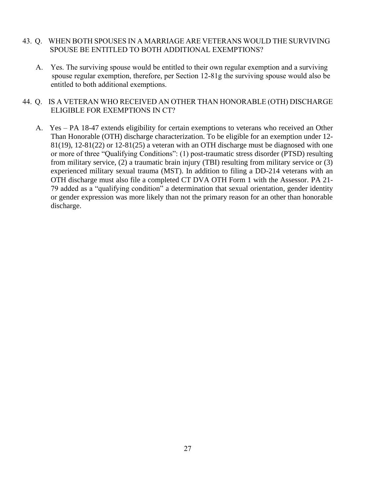# 43. Q. WHEN BOTH SPOUSES IN A MARRIAGE ARE VETERANS WOULD THE SURVIVING SPOUSE BE ENTITLED TO BOTH ADDITIONAL EXEMPTIONS?

 A. Yes. The surviving spouse would be entitled to their own regular exemption and a surviving spouse regular exemption, therefore, per Section 12-81g the surviving spouse would also be entitled to both additional exemptions.

# 44. Q. IS A VETERAN WHO RECEIVED AN OTHER THAN HONORABLE (OTH) DISCHARGE ELIGIBLE FOR EXEMPTIONS IN CT?

 A. Yes – PA 18-47 extends eligibility for certain exemptions to veterans who received an Other Than Honorable (OTH) discharge characterization. To be eligible for an exemption under 12- 81(19), 12-81(22) or 12-81(25) a veteran with an OTH discharge must be diagnosed with one or more of three "Qualifying Conditions": (1) post-traumatic stress disorder (PTSD) resulting from military service, (2) a traumatic brain injury (TBI) resulting from military service or (3) experienced military sexual trauma (MST). In addition to filing a DD-214 veterans with an OTH discharge must also file a completed CT DVA OTH Form 1 with the Assessor. PA 21- 79 added as a "qualifying condition" a determination that sexual orientation, gender identity or gender expression was more likely than not the primary reason for an other than honorable discharge.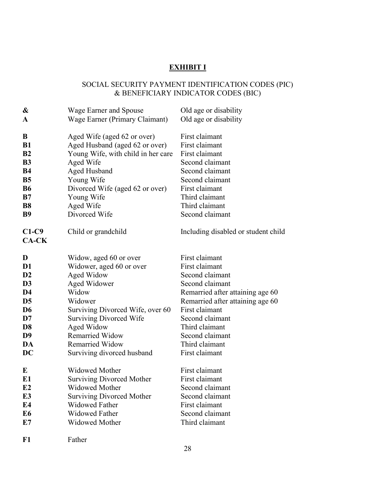# **EXHIBIT I**

# SOCIAL SECURITY PAYMENT IDENTIFICATION CODES (PIC) & BENEFICIARY INDICATOR CODES (BIC)

| &              | Wage Earner and Spouse             | Old age or disability               |
|----------------|------------------------------------|-------------------------------------|
| A              | Wage Earner (Primary Claimant)     | Old age or disability               |
|                |                                    |                                     |
| B              | Aged Wife (aged 62 or over)        | First claimant                      |
| <b>B1</b>      | Aged Husband (aged 62 or over)     | First claimant                      |
| B <sub>2</sub> | Young Wife, with child in her care | First claimant                      |
| <b>B3</b>      | Aged Wife                          | Second claimant                     |
| <b>B4</b>      | <b>Aged Husband</b>                | Second claimant                     |
| <b>B5</b>      | Young Wife                         | Second claimant                     |
| <b>B6</b>      | Divorced Wife (aged 62 or over)    | First claimant                      |
| B7             | Young Wife                         | Third claimant                      |
| <b>B8</b>      | Aged Wife                          | Third claimant                      |
| <b>B</b> 9     | Divorced Wife                      | Second claimant                     |
| $C1-C9$        | Child or grandchild                | Including disabled or student child |
| $CA-CK$        |                                    |                                     |
|                |                                    |                                     |
| D              | Widow, aged 60 or over             | First claimant                      |
| D <sub>1</sub> | Widower, aged 60 or over           | First claimant                      |
| D2             | Aged Widow                         | Second claimant                     |
| D <sub>3</sub> | Aged Widower                       | Second claimant                     |
| D <sub>4</sub> | Widow                              | Remarried after attaining age 60    |
| D <sub>5</sub> | Widower                            | Remarried after attaining age 60    |
| D <sub>6</sub> | Surviving Divorced Wife, over 60   | First claimant                      |
| D7             | <b>Surviving Divorced Wife</b>     | Second claimant                     |
| D <sub>8</sub> | Aged Widow                         | Third claimant                      |
| D <sub>9</sub> | <b>Remarried Widow</b>             | Second claimant                     |
| DA             | <b>Remarried Widow</b>             | Third claimant                      |
| DC             | Surviving divorced husband         | First claimant                      |
| E              | Widowed Mother                     | First claimant                      |
| E1             | <b>Surviving Divorced Mother</b>   | First claimant                      |
| E2             | Widowed Mother                     | Second claimant                     |
| E <sub>3</sub> | <b>Surviving Divorced Mother</b>   | Second claimant                     |
| E4             | <b>Widowed Father</b>              | First claimant                      |
| E <sub>6</sub> | <b>Widowed Father</b>              | Second claimant                     |
| E7             | Widowed Mother                     | Third claimant                      |
| F1             | Father                             |                                     |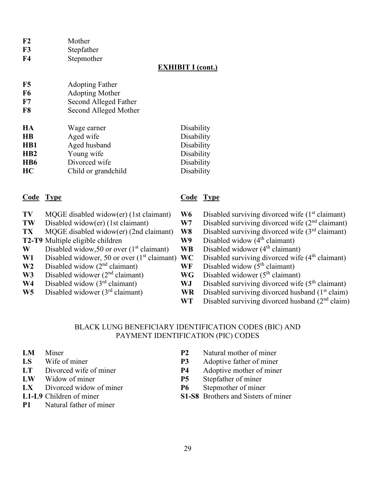- **F3** Stepfather
- **F4** Stepmother

# **EXHIBIT I (cont.)**

| F5<br><b>Adopting Father</b> |  |
|------------------------------|--|
|------------------------------|--|

- **F6** Adopting Mother
- **F7** Second Alleged Father
- **F8** Second Alleged Mother

| HA  | Wage earner         | Disability |
|-----|---------------------|------------|
| HВ  | Aged wife           | Disability |
| HB1 | Aged husband        | Disability |
| HB2 | Young wife          | Disability |
| HB6 | Divorced wife       | Disability |
| HС  | Child or grandchild | Disability |

# **Code Type Code Type**

- 
- 
- 
- 
- **W** Disabled widow, 50 or over  $(1<sup>st</sup>$  claimant) **WB**
- 
- **W2** Disabled widow ( $2^{nd}$  claimant) **WF** Disabled widow ( $5^{th}$  claimant)
- **W3** Disabled widower  $(2^{nd}$  claimant) **WG**
- 
- 

- **TV** MQGE disabled widow(er) (1st claimant) **W6** Disabled surviving divorced wife (1<sup>st</sup> claimant)
- **TW** Disabled widow(er) (1st claimant) **W7** Disabled surviving divorced wife (2<sup>nd</sup> claimant)
- **TX** MOGE disabled widow(er) (2nd claimant) **W8** Disabled surviving divorced wife (3<sup>rd</sup> claimant)
- **T2-T9** Multiple eligible children **W9** Disabled widow (4<sup>th</sup> claimant)<br>**W** Disabled widow,50 or over (1<sup>st</sup> claimant) **WB** Disabled widower (4<sup>th</sup> claimant)
	-
- **W1** Disabled widower, 50 or over (1<sup>st</sup> claimant) **WC** Disabled surviving divorced wife (4<sup>th</sup> claimant)
	-
	- Disabled widower  $(5<sup>th</sup> claimant)$
- W<sub>4</sub> Disabled widow (3<sup>rd</sup> claimant) **WJ** Disabled surviving divorced wife (5<sup>th</sup> claimant)
- **W5** Disabled widower  $(3<sup>rd</sup> claimant)$  **WR** Disabled surviving divorced husband  $(1<sup>st</sup> claim)$ 
	- **WT** Disabled surviving divorced husband (2<sup>nd</sup> claim)

# BLACK LUNG BENEFICIARY IDENTIFICATION CODES (BIC) AND PAYMENT IDENTIFICATION (PIC) CODES

- 
- 
- 
- 
- LX Divorced widow of miner **P6** Stepmother of miner
- 
- **P1** Natural father of miner
- **LM** Miner **P2** Natural mother of miner
- **LS** Wife of miner **P3** Adoptive father of miner
- **LT** Divorced wife of miner **P4** Adoptive mother of miner
- **LW** Widow of miner **P5** Stepfather of miner
	-
- **L1-L9** Children of miner **S1-S8** Brothers and Sisters of miner